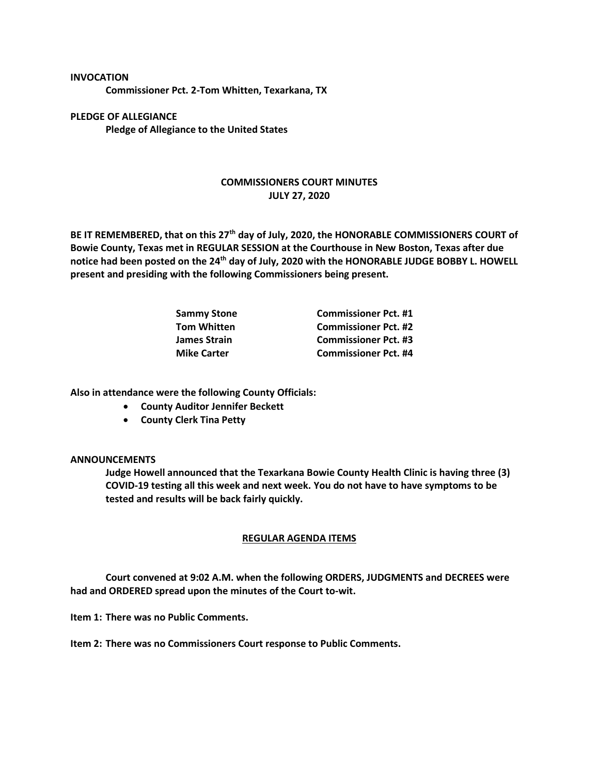**INVOCATION Commissioner Pct. 2-Tom Whitten, Texarkana, TX**

**PLEDGE OF ALLEGIANCE Pledge of Allegiance to the United States**

## **COMMISSIONERS COURT MINUTES JULY 27, 2020**

**BE IT REMEMBERED, that on this 27th day of July, 2020, the HONORABLE COMMISSIONERS COURT of Bowie County, Texas met in REGULAR SESSION at the Courthouse in New Boston, Texas after due notice had been posted on the 24th day of July, 2020 with the HONORABLE JUDGE BOBBY L. HOWELL present and presiding with the following Commissioners being present.**

| <b>Sammy Stone</b> | <b>Commissioner Pct. #1</b> |
|--------------------|-----------------------------|
| <b>Tom Whitten</b> | <b>Commissioner Pct. #2</b> |
| James Strain       | <b>Commissioner Pct. #3</b> |
| <b>Mike Carter</b> | <b>Commissioner Pct. #4</b> |

**Also in attendance were the following County Officials:**

- **County Auditor Jennifer Beckett**
- **County Clerk Tina Petty**

## **ANNOUNCEMENTS**

**Judge Howell announced that the Texarkana Bowie County Health Clinic is having three (3) COVID-19 testing all this week and next week. You do not have to have symptoms to be tested and results will be back fairly quickly.**

## **REGULAR AGENDA ITEMS**

**Court convened at 9:02 A.M. when the following ORDERS, JUDGMENTS and DECREES were had and ORDERED spread upon the minutes of the Court to-wit.**

**Item 1: There was no Public Comments.**

**Item 2: There was no Commissioners Court response to Public Comments.**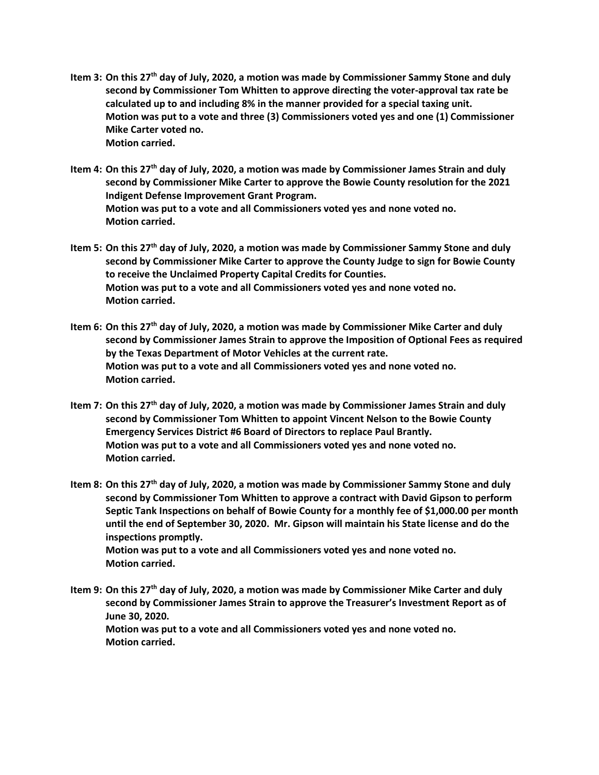- **Item 3: On this 27th day of July, 2020, a motion was made by Commissioner Sammy Stone and duly second by Commissioner Tom Whitten to approve directing the voter-approval tax rate be calculated up to and including 8% in the manner provided for a special taxing unit. Motion was put to a vote and three (3) Commissioners voted yes and one (1) Commissioner Mike Carter voted no. Motion carried.**
- **Item 4: On this 27th day of July, 2020, a motion was made by Commissioner James Strain and duly second by Commissioner Mike Carter to approve the Bowie County resolution for the 2021 Indigent Defense Improvement Grant Program. Motion was put to a vote and all Commissioners voted yes and none voted no. Motion carried.**
- **Item 5: On this 27th day of July, 2020, a motion was made by Commissioner Sammy Stone and duly second by Commissioner Mike Carter to approve the County Judge to sign for Bowie County to receive the Unclaimed Property Capital Credits for Counties. Motion was put to a vote and all Commissioners voted yes and none voted no. Motion carried.**
- **Item 6: On this 27th day of July, 2020, a motion was made by Commissioner Mike Carter and duly second by Commissioner James Strain to approve the Imposition of Optional Fees as required by the Texas Department of Motor Vehicles at the current rate. Motion was put to a vote and all Commissioners voted yes and none voted no. Motion carried.**
- **Item 7: On this 27th day of July, 2020, a motion was made by Commissioner James Strain and duly second by Commissioner Tom Whitten to appoint Vincent Nelson to the Bowie County Emergency Services District #6 Board of Directors to replace Paul Brantly. Motion was put to a vote and all Commissioners voted yes and none voted no. Motion carried.**
- **Item 8: On this 27th day of July, 2020, a motion was made by Commissioner Sammy Stone and duly second by Commissioner Tom Whitten to approve a contract with David Gipson to perform Septic Tank Inspections on behalf of Bowie County for a monthly fee of \$1,000.00 per month until the end of September 30, 2020. Mr. Gipson will maintain his State license and do the inspections promptly. Motion was put to a vote and all Commissioners voted yes and none voted no. Motion carried.**
- **Item 9: On this 27th day of July, 2020, a motion was made by Commissioner Mike Carter and duly second by Commissioner James Strain to approve the Treasurer's Investment Report as of June 30, 2020. Motion was put to a vote and all Commissioners voted yes and none voted no. Motion carried.**